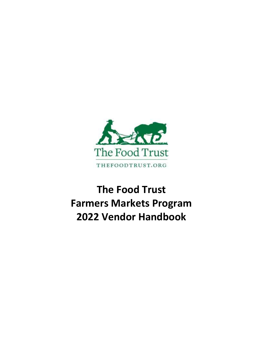

# **The Food Trust Farmers Markets Program 2022 Vendor Handbook**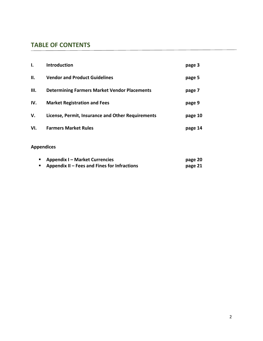# **TABLE OF CONTENTS**

| Ι.   | <b>Introduction</b>                                 | page 3  |
|------|-----------------------------------------------------|---------|
| Н.   | <b>Vendor and Product Guidelines</b>                | page 5  |
| III. | <b>Determining Farmers Market Vendor Placements</b> | page 7  |
| IV.  | <b>Market Registration and Fees</b>                 | page 9  |
| V.   | License, Permit, Insurance and Other Requirements   | page 10 |
| VI.  | <b>Farmers Market Rules</b>                         | page 14 |

# **Appendices**

| <b>Appendix I – Market Currencies</b>        | page 20 |
|----------------------------------------------|---------|
| Appendix II – Fees and Fines for Infractions | page 21 |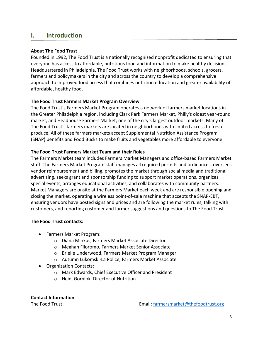# **I. Introduction**

### **About The Food Trust**

Founded in 1992, The Food Trust is a nationally recognized nonprofit dedicated to ensuring that everyone has access to affordable, nutritious food and information to make healthy decisions. Headquartered in Philadelphia, The Food Trust works with neighborhoods, schools, grocers, farmers and policymakers in the city and across the country to develop a comprehensive approach to improved food access that combines nutrition education and greater availability of affordable, healthy food.

### **The Food Trust Farmers Market Program Overview**

The Food Trust's Farmers Market Program operates a network of farmers market locations in the Greater Philadelphia region, including Clark Park Farmers Market, Philly's oldest year-round market, and Headhouse Farmers Market, one of the city's largest outdoor markets. Many of The Food Trust's farmers markets are located in neighborhoods with limited access to fresh produce. All of these farmers markets accept Supplemental Nutrition Assistance Program (SNAP) benefits and Food Bucks to make fruits and vegetables more affordable to everyone.

### **The Food Trust Farmers Market Team and their Roles**

The Farmers Market team includes Farmers Market Managers and office-based Farmers Market staff. The Farmers Market Program staff manages all required permits and ordinances, oversees vendor reimbursement and billing, promotes the market through social media and traditional advertising, seeks grant and sponsorship funding to support market operations, organizes special events, arranges educational activities, and collaborates with community partners. Market Managers are onsite at the Farmers Market each week and are responsible opening and closing the market, operating a wireless point-of-sale machine that accepts the SNAP-EBT, ensuring vendors have posted signs and prices and are following the market rules, talking with customers, and reporting customer and farmer suggestions and questions to The Food Trust.

### **The Food Trust contacts:**

- Farmers Market Program:
	- o Diana Minkus, Farmers Market Associate Director
	- o Meghan Filoromo, Farmers Market Senior Associate
	- o Brielle Underwood, Farmers Market Program Manager
	- o Autumn Lukomski-La Police, Farmers Market Associate
- Organization Contacts:
	- o Mark Edwards, Chief Executive Officer and President
	- o Heidi Gorniok, Director of Nutrition

**Contact Information**

The Food Trust **Email:** farmersmarket@thefoodtrust.org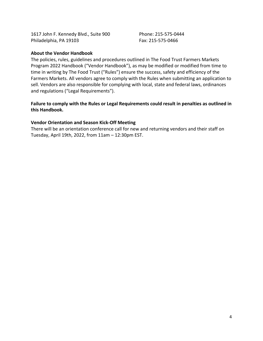1617 John F. Kennedy Blvd., Suite 900 Phone: 215-575-0444 Philadelphia, PA 19103 Fax: 215-575-0466

### **About the Vendor Handbook**

The policies, rules, guidelines and procedures outlined in The Food Trust Farmers Markets Program 2022 Handbook ("Vendor Handbook"), as may be modified or modified from time to time in writing by The Food Trust ("Rules") ensure the success, safety and efficiency of the Farmers Markets. All vendors agree to comply with the Rules when submitting an application to sell. Vendors are also responsible for complying with local, state and federal laws, ordinances and regulations ("Legal Requirements").

### **Failure to comply with the Rules or Legal Requirements could result in penalties as outlined in this Handbook.**

### **Vendor Orientation and Season Kick-Off Meeting**

There will be an orientation conference call for new and returning vendors and their staff on Tuesday, April 19th, 2022, from 11am – 12:30pm EST.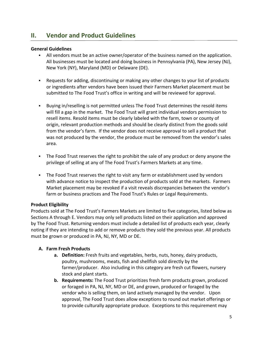# **II. Vendor and Product Guidelines**

### **General Guidelines**

- All vendors must be an active owner/operator of the business named on the application. All businesses must be located and doing business in Pennsylvania (PA), New Jersey (NJ), New York (NY), Maryland (MD) or Delaware (DE).
- Requests for adding, discontinuing or making any other changes to your list of products or ingredients after vendors have been issued their Farmers Market placement must be submitted to The Food Trust's office in writing and will be reviewed for approval.
- Buying in/reselling is not permitted unless The Food Trust determines the resold items will fill a gap in the market. The Food Trust will grant individual vendors permission to resell items. Resold items must be clearly labeled with the farm, town or county of origin, relevant production methods and should be clearly distinct from the goods sold from the vendor's farm. If the vendor does not receive approval to sell a product that was not produced by the vendor, the produce must be removed from the vendor's sales area.
- The Food Trust reserves the right to prohibit the sale of any product or deny anyone the privilege of selling at any of The Food Trust's Farmers Markets at any time.
- The Food Trust reserves the right to visit any farm or establishment used by vendors with advance notice to inspect the production of products sold at the markets. Farmers Market placement may be revoked if a visit reveals discrepancies between the vendor's farm or business practices and The Food Trust's Rules or Legal Requirements.

### **Product Eligibility**

Products sold at The Food Trust's Farmers Markets are limited to five categories, listed below as Sections A through E. Vendors may only sell products listed on their application and approved by The Food Trust. Returning vendors must include a detailed list of products each year, clearly noting if they are intending to add or remove products they sold the previous year. All products must be grown or produced in PA, NJ, NY, MD or DE.

### **A. Farm Fresh Products**

- **a. Definition:** Fresh fruits and vegetables, herbs, nuts, honey, dairy products, poultry, mushrooms, meats, fish and shellfish sold directly by the farmer/producer. Also including in this category are fresh cut flowers, nursery stock and plant starts.
- **b. Requirements:** The Food Trust prioritizes fresh farm products grown, produced or foraged in PA, NJ, NY, MD or DE, and grown, produced or foraged by the vendor who is selling them, on land actively managed by the vendor. Upon approval, The Food Trust does allow exceptions to round out market offerings or to provide culturally appropriate produce. Exceptions to this requirement may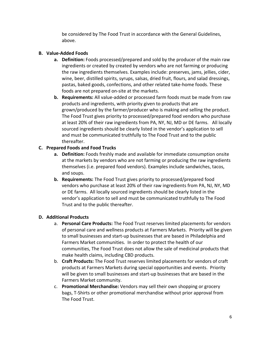be considered by The Food Trust in accordance with the General Guidelines, above.

### **B. Value-Added Foods**

- **a. Definition:** Foods processed/prepared and sold by the producer of the main raw ingredients or created by created by vendors who are not farming or producing the raw ingredients themselves. Examples include: preserves, jams, jellies, cider, wine, beer, distilled spirits, syrups, salsas, dried fruit, flours, and salad dressings, pastas, baked goods, confections, and other related take-home foods. These foods are not prepared on-site at the markets.
- **b. Requirements:** All value-added or processed farm foods must be made from raw products and ingredients, with priority given to products that are grown/produced by the farmer/producer who is making and selling the product. The Food Trust gives priority to processed/prepared food vendors who purchase at least 20% of their raw ingredients from PA, NY, NJ, MD or DE farms. All locally sourced ingredients should be clearly listed in the vendor's application to sell and must be communicated truthfully to The Food Trust and to the public thereafter.

# **C. Prepared Foods and Food Trucks**

- **a. Definition:** Foods freshly made and available for immediate consumption onsite at the markets by vendors who are not farming or producing the raw ingredients themselves (i.e. prepared food vendors). Examples include sandwiches, tacos, and soups.
- **b. Requirements:** The Food Trust gives priority to processed/prepared food vendors who purchase at least 20% of their raw ingredients from PA, NJ, NY, MD or DE farms. All locally sourced ingredients should be clearly listed in the vendor's application to sell and must be communicated truthfully to The Food Trust and to the public thereafter.

# **D. Additional Products**

- a. **Personal Care Products:** The Food Trust reserves limited placements for vendors of personal care and wellness products at Farmers Markets. Priority will be given to small businesses and start-up businesses that are based in Philadelphia and Farmers Market communities. In order to protect the health of our communities, The Food Trust does not allow the sale of medicinal products that make health claims, including CBD products.
- b. **Craft Products:** The Food Trust reserves limited placements for vendors of craft products at Farmers Markets during special opportunities and events. Priority will be given to small businesses and start-up businesses that are based in the Farmers Market community.
- c. **Promotional Merchandise:** Vendors may sell their own shopping or grocery bags, T-Shirts or other promotional merchandise without prior approval from The Food Trust.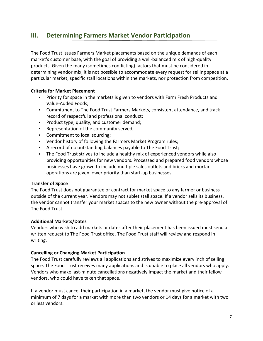# **III. Determining Farmers Market Vendor Participation**

The Food Trust issues Farmers Market placements based on the unique demands of each market's customer base, with the goal of providing a well-balanced mix of high-quality products. Given the many (sometimes conflicting) factors that must be considered in determining vendor mix, it is not possible to accommodate every request for selling space at a particular market, specific stall locations within the markets, nor protection from competition.

### **Criteria for Market Placement**

- Priority for space in the markets is given to vendors with Farm Fresh Products and Value-Added Foods;
- Commitment to The Food Trust Farmers Markets, consistent attendance, and track record of respectful and professional conduct;
- **Product type, quality, and customer demand;**
- **Representation of the community served;**
- **Commitment to local sourcing;**
- Vendor history of following the Farmers Market Program rules;
- A record of no outstanding balances payable to The Food Trust;
- The Food Trust strives to include a healthy mix of experienced vendors while also providing opportunities for new vendors. Processed and prepared food vendors whose businesses have grown to include multiple sales outlets and bricks and mortar operations are given lower priority than start-up businesses.

### **Transfer of Space**

The Food Trust does not guarantee or contract for market space to any farmer or business outside of the current year. Vendors may not sublet stall space. If a vendor sells its business, the vendor cannot transfer your market spaces to the new owner without the pre-approval of The Food Trust.

### **Additional Markets/Dates**

Vendors who wish to add markets or dates after their placement has been issued must send a written request to The Food Trust office. The Food Trust staff will review and respond in writing.

### **Cancelling or Changing Market Participation**

The Food Trust carefully reviews all applications and strives to maximize every inch of selling space. The Food Trust receives many applications and is unable to place all vendors who apply. Vendors who make last-minute cancellations negatively impact the market and their fellow vendors, who could have taken that space.

If a vendor must cancel their participation in a market, the vendor must give notice of a minimum of 7 days for a market with more than two vendors or 14 days for a market with two or less vendors.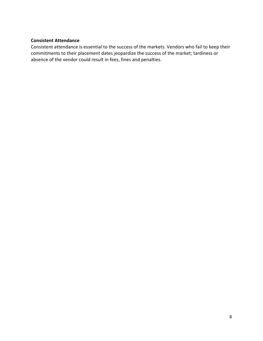### **Consistent Attendance**

Consistent attendance is essential to the success of the markets. Vendors who fail to keep their commitments to their placement dates jeopardize the success of the market; tardiness or absence of the vendor could result in fees, fines and penalties.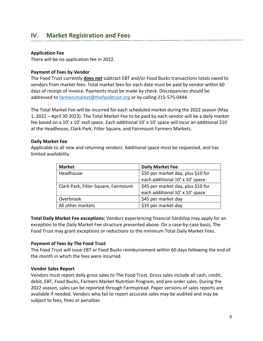# **IV. Market Registration and Fees**

### **Application Fee**

There will be no application fee in 2022.

### **Payment of Fees by Vendor**

The Food Trust currently **does not** subtract EBT and/or Food Bucks transactions totals owed to vendors from market fees. Total market fees for each date must be paid by vendor within 60 days of receipt of invoice. Payments must be made by check. Discrepancies should be addressed to [farmersmarket@thefoodtrust.org](mailto:farmersmarket@thefoodtrust.org) or by calling 215-575-0444.

The Total Market Fee will be incurred for each scheduled market during the 2022 season (May 1, 2022 – April 30 2023). The Total Market Fee to be paid by each vendor will be a daily market fee based on a 10' x 10' stall space. Each additional 10' x 10' space will incur an additional \$10 at the Headhouse, Clark Park, Fitler Square, and Fairmount Farmers Markets.

### **Daily Market Fee**

Applicable to all new and returning vendors. Additional space must be requested, and has limited availability.

| <b>Market</b>                        | <b>Daily Market Fee</b>            |
|--------------------------------------|------------------------------------|
| Headhouse                            | \$50 per market day, plus \$10 for |
|                                      | each additional 10' x 10' space    |
| Clark Park, Fitler Square, Fairmount | \$45 per market day, plus \$10 for |
|                                      | each additional 10' x 10' space    |
| Overbrook                            | \$45 per market day                |
| All other markets                    | \$35 per market day                |

**Total Daily Market Fee exceptions:** Vendors experiencing financial hardship may apply for an exception to the Daily Market Fee structure presented above. On a case-by-case basis, The Food Trust may grant exceptions or reductions to the minimum Total Daily Market Fees.

### **Payment of Fees by The Food Trust**

The Food Trust will issue EBT or Food Bucks reimbursement within 60 days following the end of the month in which the fees were incurred.

### **Vendor Sales Report**

Vendors must report daily gross sales to The Food Trust. Gross sales include all cash, credit, debit, EBT, Food Bucks, Farmers Market Nutrition Program, and pre-order sales. During the 2022 season, sales can be reported through Farmspread. Paper versions of sales reports are available if needed. Vendors who fail to report accurate sales may be audited and may be subject to fees, fines or penalties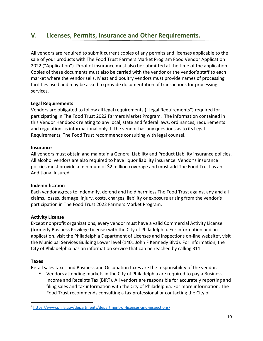# **V. Licenses, Permits, Insurance and Other Requirements.**

All vendors are required to submit current copies of any permits and licenses applicable to the sale of your products with The Food Trust Farmers Market Program Food Vendor Application 2022 ("Application"). Proof of insurance must also be submitted at the time of the application. Copies of these documents must also be carried with the vendor or the vendor's staff to each market where the vendor sells. Meat and poultry vendors must provide names of processing facilities used and may be asked to provide documentation of transactions for processing services.

### **Legal Requirements**

Vendors are obligated to follow all legal requirements ("Legal Requirements") required for participating in The Food Trust 2022 Farmers Market Program. The information contained in this Vendor Handbook relating to any local, state and federal laws, ordinances, requirements and regulations is informational only. If the vendor has any questions as to its Legal Requirements, The Food Trust recommends consulting with legal counsel.

### **Insurance**

All vendors must obtain and maintain a General Liability and Product Liability insurance policies. All alcohol vendors are also required to have liquor liability insurance. Vendor's insurance policies must provide a minimum of \$2 million coverage and must add The Food Trust as an Additional Insured.

### **Indemnification**

Each vendor agrees to indemnify, defend and hold harmless The Food Trust against any and all claims, losses, damage, injury, costs, charges, liability or exposure arising from the vendor's participation in The Food Trust 2022 Farmers Market Program.

### **Activity License**

Except nonprofit organizations, every vendor must have a valid Commercial Activity License (formerly Business Privilege License) with the City of Philadelphia. For information and an application, visit the Philadelphia Department of Licenses and inspections on-line website<sup>1</sup>, visit the Municipal Services Building Lower level (1401 John F Kennedy Blvd). For information, the City of Philadelphia has an information service that can be reached by calling 311.

### **Taxes**

 $\overline{a}$ 

Retail sales taxes and Business and Occupation taxes are the responsibility of the vendor.

 Vendors attending markets in the City of Philadelphia are required to pay a Business Income and Receipts Tax (BIRT). All vendors are responsible for accurately reporting and filing sales and tax information with the City of Philadelphia. For more information, The Food Trust recommends consulting a tax professional or contacting the City of

<sup>1</sup> <https://www.phila.gov/departments/department-of-licenses-and-inspections/>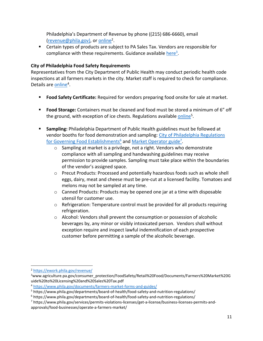Philadelphia's Department of Revenue by phone ((215) 686-6660), email revenue@phila.gov), or [online](https://ework.phila.gov/revenue/)<sup>2</sup>.

 Certain types of products are subject to PA Sales Tax. Vendors are responsible for compliance with these requirements. Guidance available [here](https://www.agriculture.pa.gov/consumer_protection/FoodSafety/Retail%20Food/Documents/Farmers%20Market%20Guide%20to%20Licensing%20and%20Sales%20Tax.pdf)<sup>3</sup>.

### **City of Philadelphia Food Safety Requirements**

Representatives from the City Department of Public Health may conduct periodic health code inspections at all farmers markets in the city. Market staff is required to check for compliance. Details are **online**<sup>4</sup>.

- **Food Safety Certificate:** Required for vendors preparing food onsite for sale at market.
- **Food Storage:** Containers must be cleaned and food must be stored a minimum of 6" off the ground, with exception of ice chests. Regulations available **online**<sup>5</sup>.
- **Sampling:** Philadelphia Department of Public Health guidelines must be followed at vendor booths for food demonstration and sampling: [City of Philadelphia Regulations](https://www.phila.gov/departments/board-of-health/food-safety-and-nutrition-regulations/)  [for Governing Food Establishments](https://www.phila.gov/departments/board-of-health/food-safety-and-nutrition-regulations/)<sup>6</sup> and [Market Operator guide](https://www.phila.gov/services/permits-violations-licenses/get-a-license/business-licenses-permits-and-approvals/food-businesses/operate-a-farmers-market/)<sup>7</sup>.
	- o Sampling at market is a privilege, not a right. Vendors who demonstrate compliance with all sampling and handwashing guidelines may receive permission to provide samples. Sampling must take place within the boundaries of the vendor's assigned space.
	- o Precut Products: Processed and potentially hazardous foods such as whole shell eggs, dairy, meat and cheese must be pre-cut at a licensed facility. Tomatoes and melons may not be sampled at any time.
	- $\circ$  Canned Products: Products may be opened one jar at a time with disposable utensil for customer use.
	- $\circ$  Refrigeration: Temperature control must be provided for all products requiring refrigeration.
	- o Alcohol: Vendors shall prevent the consumption or possession of alcoholic beverages by, any minor or visibly intoxicated person. Vendors shall without exception require and inspect lawful indemnification of each prospective customer before permitting a sample of the alcoholic beverage.

 $\overline{a}$ 

<sup>2</sup> <https://ework.phila.gov/revenue/>

<sup>&</sup>lt;sup>3</sup>www.agriculture.pa.gov/consumer\_protection/FoodSafety/Retail%20Food/Documents/Farmers%20Market%20G uide%20to%20Licensing%20and%20Sales%20Tax.pdf

<sup>4</sup> <https://www.phila.gov/documents/farmers-market-forms-and-guides/>

<sup>5</sup> https://www.phila.gov/departments/board-of-health/food-safety-and-nutrition-regulations/

<sup>6</sup> https://www.phila.gov/departments/board-of-health/food-safety-and-nutrition-regulations/

<sup>7</sup> https://www.phila.gov/services/permits-violations-licenses/get-a-license/business-licenses-permits-andapprovals/food-businesses/operate-a-farmers-market/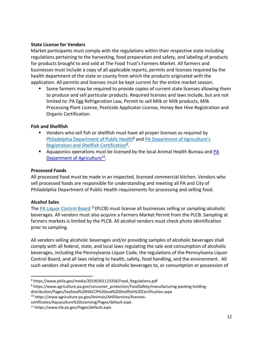### **State License for Vendors**

Market participants must comply with the regulations within their respective state including regulations pertaining to the harvesting, food preparation and safety, and labeling of products for products brought to and sold at The Food Trust's Farmers Market. All farmers and businesses must include a copy of all applicable reports, permits and licenses required by the health department of the state or county from which the products originated with the application. All permits and licenses must be kept current for the entire market season.

 Some farmers may be required to provide copies of current state licenses allowing them to produce and sell particular products. Required licenses and laws include, but are not limited to: PA Egg Refrigeration Law, Permit to sell Milk or Milk products, Milk Processing Plant License, Pesticide Applicator License, Honey Bee Hive Registration and Organic Certification.

### **Fish and Shellfish**

- **UPED 10 FM 2018** Vendors who sell fish or shellfish must have all proper licenses as required by [Philadelphia Department of Public Health](https://www.phila.gov/media/20190301123356/Food_Regulations.pdf)<sup>8</sup> and PA Department of Agriculture's [Registration and Shellfish Certification](https://www.agriculture.pa.gov/consumer_protection/FoodSafety/manufacturing-packing-holding-distribution/Pages/Seafood%20HACCP%20and%20Shellfish%20Certification.aspxhttps:/www.agriculture.pa.gov/consumer_protection/FoodSafety/manufacturing-packing-holding-distribution/Pages/Seafood%20HACCP%20and%20Shellfish%20Certification.aspx)<sup>9</sup>.
- **Aquaponics operations must be licensed by the local Animal Health Bureau and PA** [Department of Agriculture](https://www.agriculture.pa.gov/Animals/AHDServices/licenses-certificates/Aquaculture%20Licensing/Pages/default.aspx)<sup>10</sup>.

### **Processed Foods**

All processed food must be made in an inspected, licensed commercial kitchen. Vendors who sell processed foods are responsible for understanding and meeting all PA and City of Philadelphia Department of Public Health requirements for processing and selling food.

### **Alcohol Sales**

l

The [PA Liquor Control Board](https://www.lcb.pa.gov/Pages/default.aspx) <sup>11</sup>(PLCB) must license all businesses selling or sampling alcoholic beverages. All vendors must also acquire a Farmers Market Permit from the PLCB. Sampling at farmers markets is limited by the PLCB. All alcohol vendors must check photo identification prior to sampling.

All vendors selling alcoholic beverages and/or providing samples of alcoholic beverages shall comply with all federal, state, and local laws regulating the sale and consumption of alcoholic beverages, including the Pennsylvania Liquor Code, the regulations of the Pennsylvania Liquor Control Board, and all laws relating to health, safety, food handling, and the environment. All such vendors shall prevent the sale of alcoholic beverages to, or consumption or possession of

<sup>8</sup> https://www.phila.gov/media/20190301123356/Food\_Regulations.pdf

<sup>&</sup>lt;sup>9</sup> https://www.agriculture.pa.gov/consumer\_protection/FoodSafety/manufacturing-packing-holding-

distribution/Pages/Seafood%20HACCP%20and%20Shellfish%20Certification.aspx

<sup>10</sup> https://www.agriculture.pa.gov/Animals/AHDServices/licenses-

certificates/Aquaculture%20Licensing/Pages/default.aspx

<sup>11</sup> https://www.lcb.pa.gov/Pages/default.aspx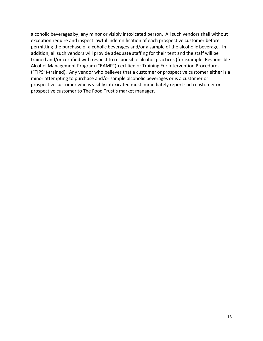alcoholic beverages by, any minor or visibly intoxicated person. All such vendors shall without exception require and inspect lawful indemnification of each prospective customer before permitting the purchase of alcoholic beverages and/or a sample of the alcoholic beverage. In addition, all such vendors will provide adequate staffing for their tent and the staff will be trained and/or certified with respect to responsible alcohol practices (for example, Responsible Alcohol Management Program ("RAMP")-certified or Training For Intervention Procedures ("TIPS")-trained). Any vendor who believes that a customer or prospective customer either is a minor attempting to purchase and/or sample alcoholic beverages or is a customer or prospective customer who is visibly intoxicated must immediately report such customer or prospective customer to The Food Trust's market manager.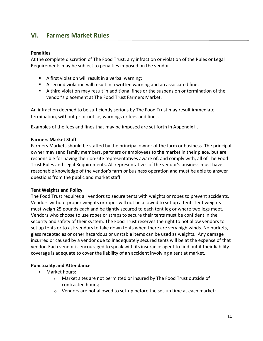# **VI. Farmers Market Rules**

### **Penalties**

At the complete discretion of The Food Trust, any infraction or violation of the Rules or Legal Requirements may be subject to penalties imposed on the vendor.

- A first violation will result in a verbal warning;
- A second violation will result in a written warning and an associated fine;
- A third violation may result in additional fines or the suspension or termination of the vendor's placement at The Food Trust Farmers Market.

An infraction deemed to be sufficiently serious by The Food Trust may result immediate termination, without prior notice, warnings or fees and fines.

Examples of the fees and fines that may be imposed are set forth in Appendix II.

### **Farmers Market Staff**

Farmers Markets should be staffed by the principal owner of the farm or business. The principal owner may send family members, partners or employees to the market in their place, but are responsible for having their on-site representatives aware of, and comply with, all of The Food Trust Rules and Legal Requirements. All representatives of the vendor's business must have reasonable knowledge of the vendor's farm or business operation and must be able to answer questions from the public and market staff.

### **Tent Weights and Policy**

The Food Trust requires all vendors to secure tents with weights or ropes to prevent accidents. Vendors without proper weights or ropes will not be allowed to set up a tent. Tent weights must weigh 25 pounds each and be tightly secured to each tent leg or where two legs meet. Vendors who choose to use ropes or straps to secure their tents must be confident in the security and safety of their system. The Food Trust reserves the right to not allow vendors to set up tents or to ask vendors to take down tents when there are very high winds. No buckets, glass receptacles or other hazardous or unstable items can be used as weights. Any damage incurred or caused by a vendor due to inadequately secured tents will be at the expense of that vendor. Each vendor is encouraged to speak with its insurance agent to find out if their liability coverage is adequate to cover the liability of an accident involving a tent at market.

### **Punctuality and Attendance**

- **Market hours:** 
	- $\circ$  Market sites are not permitted or insured by The Food Trust outside of contracted hours;
	- $\circ$  Vendors are not allowed to set-up before the set-up time at each market;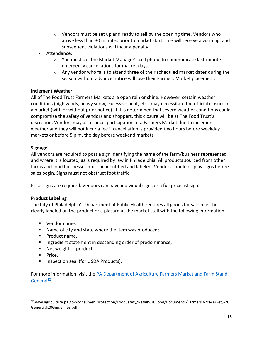- $\circ$  Vendors must be set up and ready to sell by the opening time. Vendors who arrive less than 30 minutes prior to market start time will receive a warning, and subsequent violations will incur a penalty.
- Attendance:
	- $\circ$  You must call the Market Manager's cell phone to communicate last-minute emergency cancellations for market days.
	- $\circ$  Any vendor who fails to attend three of their scheduled market dates during the season without advance notice will lose their Farmers Market placement.

### **Inclement Weather**

All of The Food Trust Farmers Markets are open rain or shine. However, certain weather conditions (high winds, heavy snow, excessive heat, etc.) may necessitate the official closure of a market (with or without prior notice). If it is determined that severe weather conditions could compromise the safety of vendors and shoppers, this closure will be at The Food Trust's discretion. Vendors may also cancel participation at a Farmers Market due to inclement weather and they will not incur a fee if cancellation is provided two hours before weekday markets or before 5 p.m. the day before weekend markets.

### **Signage**

All vendors are required to post a sign identifying the name of the farm/business represented and where it is located, as is required by law in Philadelphia. All products sourced from other farms and food businesses must be identified and labeled. Vendors should display signs before sales begin. Signs must not obstruct foot traffic.

Price signs are required. Vendors can have individual signs or a full price list sign.

### **Product Labeling**

The City of Philadelphia's Department of Public Health requires all goods for sale must be clearly labeled on the product or a placard at the market stall with the following information:

- Vendor name.
- Name of city and state where the item was produced;
- **Product name,**
- **Ingredient statement in descending order of predominance,**
- Net weight of product,
- **Price.**

 $\overline{\phantom{a}}$ 

Inspection seal (for USDA Products).

For more information, visit the [PA Department of Agriculture Farmers Market and Farm Stand](https://www.agriculture.pa.gov/consumer_protection/FoodSafety/Retail%20Food/Documents/Farmers%20Market%20General%20Guidelines.pdf)  [General](https://www.agriculture.pa.gov/consumer_protection/FoodSafety/Retail%20Food/Documents/Farmers%20Market%20General%20Guidelines.pdf)<sup>12</sup>.

<sup>12</sup>www.agriculture.pa.gov/consumer\_protection/FoodSafety/Retail%20Food/Documents/Farmers%20Market%20 General%20Guidelines.pdf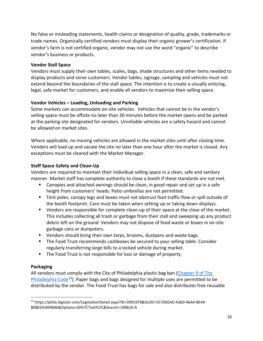No false or misleading statements, health claims or designation of quality, grade, trademarks or trade names. Organically certified vendors must display their organic grower's certification. If vendor's farm is not certified organic, vendor may not use the word "organic" to describe vendor's business or products.

### **Vendor Stall Space**

Vendors must supply their own tables, scales, bags, shade structures and other items needed to display products and serve customers. Vendor tables, signage, sampling and vehicles must not extend beyond the boundaries of the stall space. The intention is to create a visually enticing, legal, safe market for customers, and enable all vendors to maximize their selling space.

# **Vendor Vehicles – Loading, Unloading and Parking**

Some markets can accommodate on-site vehicles. Vehicles that cannot be in the vendor's selling space must be offsite no later than 30 minutes before the market opens and be parked at the parking site designated for vendors. Unreliable vehicles are a safety hazard and cannot be allowed on market sites.

Where applicable, no moving vehicles are allowed in the market sites until after closing time. Vendors will load up and vacate the site no later than one hour after the market is closed. Any exceptions must be cleared with the Market Manager.

# **Staff Space Safety and Clean-Up**

Vendors are required to maintain their individual selling space in a clean, safe and sanitary manner. Market staff has complete authority to close a booth if these standards are not met.

- Canopies and attached awnings should be clean, in good repair and set up in a safe height from customers' heads. Patio umbrellas are not permitted.
- Tent poles, canopy legs and boxes must not obstruct foot traffic flow or spill outside of the booth footprint. Care must be taken when setting up or taking down displays.
- Vendors are responsible for complete clean-up of their space at the close of the market. This includes collecting all trash or garbage from their stall and sweeping up any product debris left on the ground. Vendors may not dispose of food waste or boxes in on-site garbage cans or dumpsters.
- Vendors should bring their own tarps, brooms, dustpans and waste bags.
- **The Food Trust recommends cashboxes be secured to your selling table. Consider** regularly transferring large bills to a locked vehicle during market.
- **The Food Trust is not responsible for loss or damage of property.**

# **Packaging**

All vendors must comply with the City of Philadelphia plastic bag ban [\(Chapter 9 of The](https://phila.legistar.com/LegislationDetail.aspx?ID=3991978&GUID=557D6EA0-A360-46A4-8E44-B0BEDA304B46&Options=ID%7CText%7C&Search=190610-A)  [Philadelphia Code](https://phila.legistar.com/LegislationDetail.aspx?ID=3991978&GUID=557D6EA0-A360-46A4-8E44-B0BEDA304B46&Options=ID%7CText%7C&Search=190610-A)<sup>13</sup>). Paper bags and bags designed for multiple uses are permitted to be distributed by the vendor. The Food Trust has bags for sale and also distributes free reusable

 $\overline{\phantom{a}}$ <sup>13</sup> https://phila.legistar.com/LegislationDetail.aspx?ID=3991978&GUID=557D6EA0-A360-46A4-8E44- B0BEDA304B46&Options=ID%7CText%7C&Search=190610-A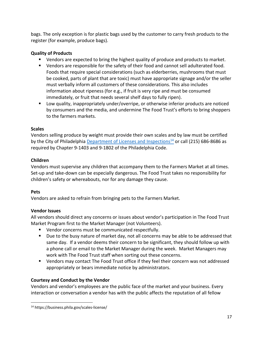bags. The only exception is for plastic bags used by the customer to carry fresh products to the register (for example, produce bags).

# **Quality of Products**

- Vendors are expected to bring the highest quality of produce and products to market.
- Vendors are responsible for the safety of their food and cannot sell adulterated food. Foods that require special considerations (such as elderberries, mushrooms that must be cooked, parts of plant that are toxic) must have appropriate signage and/or the seller must verbally inform all customers of these considerations. This also includes information about ripeness (for e.g., if fruit is very ripe and must be consumed immediately, or fruit that needs several shelf days to fully ripen).
- **Low quality, inappropriately under/overripe, or otherwise inferior products are noticed** by consumers and the media, and undermine The Food Trust's efforts to bring shoppers to the farmers markets.

### **Scales**

Vendors selling produce by weight must provide their own scales and by law must be certified by the City of Philadelphia [Department of Licenses and Inspections](https://business.phila.gov/scales-license/)<sup>14</sup> or call (215) 686-8686 as required by Chapter 9-1403 and 9-1802 of the Philadelphia Code.

# **Children**

Vendors must supervise any children that accompany them to the Farmers Market at all times. Set-up and take-down can be especially dangerous. The Food Trust takes no responsibility for children's safety or whereabouts, nor for any damage they cause.

### **Pets**

 $\overline{a}$ 

Vendors are asked to refrain from bringing pets to the Farmers Market.

# **Vendor Issues**

All vendors should direct any concerns or issues about vendor's participation in The Food Trust Market Program first to the Market Manager (not Volunteers).

- **UPER 19 Vendor concerns must be communicated respectfully.**
- Due to the busy nature of market day, not all concerns may be able to be addressed that same day. If a vendor deems their concern to be significant, they should follow up with a phone call or email to the Market Manager during the week. Market Managers may work with The Food Trust staff when sorting out these concerns.
- Vendors may contact The Food Trust office if they feel their concern was not addressed appropriately or bears immediate notice by administrators.

# **Courtesy and Conduct by the Vendor**

Vendors and vendor's employees are the public face of the market and your business. Every interaction or conversation a vendor has with the public affects the reputation of all fellow

<sup>14</sup> https://business.phila.gov/scales-license/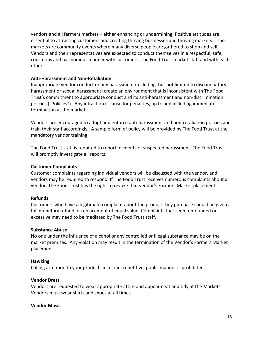vendors and all farmers markets – either enhancing or undermining. Positive attitudes are essential to attracting customers and creating thriving businesses and thriving markets. The markets are community events where many diverse people are gathered to shop and sell. Vendors and their representatives are expected to conduct themselves in a respectful, safe, courteous and harmonious manner with customers, The Food Trust market staff and with each other.

### **Anti-Harassment and Non-Retaliation**

Inappropriate vendor conduct or any harassment (including, but not limited to discriminatory harassment or sexual harassment) create an environment that is inconsistent with The Food Trust's commitment to appropriate conduct and its anti-harassment and non-discrimination policies ("Policies"). Any infraction is cause for penalties, up to and including immediate termination at the market.

Vendors are encouraged to adopt and enforce anti-harassment and non-retaliation policies and train their staff accordingly. A sample form of policy will be provided by The Food Trust at the mandatory vendor training.

The Food Trust staff is required to report incidents of suspected harassment. The Food Trust will promptly investigate all reports.

### **Customer Complaints**

Customer complaints regarding individual vendors will be discussed with the vendor, and vendors may be required to respond. If The Food Trust receives numerous complaints about a vendor, The Food Trust has the right to revoke that vendor's Farmers Market placement.

### **Refunds**

Customers who have a legitimate complaint about the product they purchase should be given a full monetary refund or replacement of equal value. Complaints that seem unfounded or excessive may need to be mediated by The Food Trust staff.

### **Substance Abuse**

No one under the influence of alcohol or any controlled or illegal substance may be on the market premises. Any violation may result in the termination of the Vendor's Farmers Market placement.

### **Hawking**

Calling attention to your products in a loud, repetitive, public manner is prohibited.

### **Vendor Dress**

Vendors are requested to wear appropriate attire and appear neat and tidy at the Markets. Vendors must wear shirts and shoes at all times.

### **Vendor Music**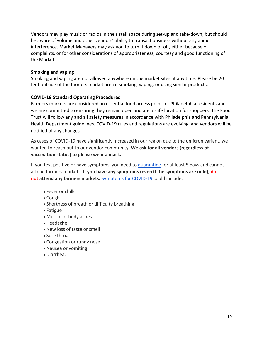Vendors may play music or radios in their stall space during set-up and take-down, but should be aware of volume and other vendors' ability to transact business without any audio interference. Market Managers may ask you to turn it down or off, either because of complaints, or for other considerations of appropriateness, courtesy and good functioning of the Market.

### **Smoking and vaping**

Smoking and vaping are not allowed anywhere on the market sites at any time. Please be 20 feet outside of the farmers market area if smoking, vaping, or using similar products.

### **COVID-19 Standard Operating Procedures**

Farmers markets are considered an essential food access point for Philadelphia residents and we are committed to ensuring they remain open and are a safe location for shoppers. The Food Trust will follow any and all safety measures in accordance with Philadelphia and Pennsylvania Health Department guidelines. COVID-19 rules and regulations are evolving, and vendors will be notified of any changes.

As cases of COVID-19 have significantly increased in our region due to the omicron variant, we wanted to reach out to our vendor community. **We ask for all vendors (regardless of vaccination status) to please wear a mask.**

If you test positive or have symptoms, you need to [quarantine](https://www.cdc.gov/media/releases/2021/s1227-isolation-quarantine-guidance.html) for at least 5 days and cannot attend farmers markets. **If you have any symptoms (even if the symptoms are mild), do not attend any farmers markets.** [Symptoms for](https://www.cdc.gov/coronavirus/2019-ncov/symptoms-testing/symptoms.html) COVID-19 could include:

- Fever or chills
- Cough
- Shortness of breath or difficulty breathing
- Fatigue
- Muscle or body aches
- Headache
- New loss of taste or smell
- Sore throat
- Congestion or runny nose
- Nausea or vomiting
- Diarrhea.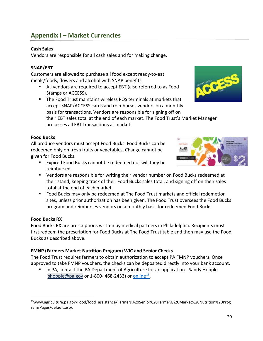# **Appendix I – Market Currencies**

# **Cash Sales**

Vendors are responsible for all cash sales and for making change.

### **SNAP/EBT**

Customers are allowed to purchase all food except ready-to-eat meals/foods, flowers and alcohol with SNAP benefits.

- All vendors are required to accept EBT (also referred to as Food Stamps or ACCESS).
- **The Food Trust maintains wireless POS terminals at markets that** accept SNAP/ACCESS cards and reimburses vendors on a monthly basis for transactions. Vendors are responsible for signing off on their EBT sales total at the end of each market. The Food Trust's Market Manager processes all EBT transactions at market.

### **Food Bucks**

All produce vendors must accept Food Bucks. Food Bucks can be redeemed only on fresh fruits or vegetables. Change cannot be given for Food Bucks.

- **Expired Food Bucks cannot be redeemed nor will they be** reimbursed.
- Vendors are responsible for writing their vendor number on Food Bucks redeemed at their stand, keeping track of their Food Bucks sales total, and signing off on their sales total at the end of each market.
- **F** Food Bucks may only be redeemed at The Food Trust markets and official redemption sites, unless prior authorization has been given. The Food Trust oversees the Food Bucks program and reimburses vendors on a monthly basis for redeemed Food Bucks.

# **Food Bucks RX**

 $\overline{\phantom{a}}$ 

Food Bucks RX are prescriptions written by medical partners in Philadelphia. Recipients must first redeem the prescription for Food Bucks at The Food Trust table and then may use the Food Bucks as described above.

# **FMNP (Farmers Market Nutrition Program) WIC and Senior Checks**

The Food Trust requires farmers to obtain authorization to accept PA FMNP vouchers. Once approved to take FMNP vouchers, the checks can be deposited directly into your bank account.

 In PA, contact the PA Department of Agriculture for an application - Sandy Hopple  $(shopple@pa.gov$  or 1-800-468-2433) or  $online<sup>15</sup>$ .</u>





<sup>15</sup>www.agriculture.pa.gov/Food/food\_assistance/Farmers%20Senior%20Farmers%20Market%20Nutrition%20Prog ram/Pages/default.aspx